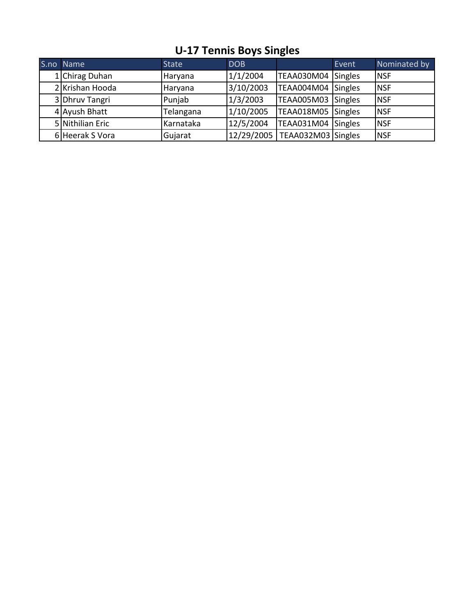| S.no Name        | <b>State</b> | <b>DOB</b> |                                 | Event | Nominated by |
|------------------|--------------|------------|---------------------------------|-------|--------------|
| 1 Chirag Duhan   | Haryana      | 1/1/2004   | TEAA030M04 Singles              |       | <b>INSF</b>  |
| 2 Krishan Hooda  | Haryana      | 3/10/2003  | TEAA004M04 Singles              |       | <b>INSF</b>  |
| 3 Dhruv Tangri   | Punjab       | 1/3/2003   | TEAA005M03 Singles              |       | <b>NSF</b>   |
| 4 Ayush Bhatt    | Telangana    | 1/10/2005  | TEAA018M05 Singles              |       | <b>NSF</b>   |
| 5 Nithilian Eric | Karnataka    | 12/5/2004  | TEAA031M04 Singles              |       | <b>NSF</b>   |
| 6 Heerak S Vora  | Gujarat      |            | 12/29/2005   TEAA032M03 Singles |       | <b>NSF</b>   |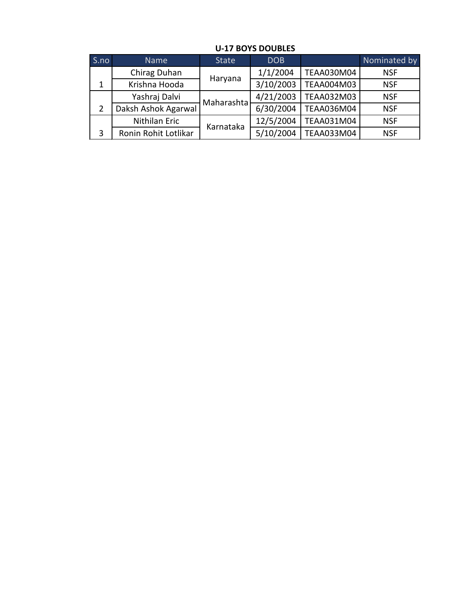| S.no | <b>Name</b>          | <b>State</b> | <b>DOB</b> |                   | Nominated by |
|------|----------------------|--------------|------------|-------------------|--------------|
|      | Chirag Duhan         |              | 1/1/2004   | TEAA030M04        | <b>NSF</b>   |
| 1    | Krishna Hooda        | Haryana      | 3/10/2003  | TEAA004M03        | <b>NSF</b>   |
|      | Yashraj Dalvi        | Maharashta   | 4/21/2003  | <b>TEAA032M03</b> | <b>NSF</b>   |
| 2    | Daksh Ashok Agarwal  |              | 6/30/2004  | TEAA036M04        | <b>NSF</b>   |
|      | Nithilan Eric        | Karnataka    | 12/5/2004  | TEAA031M04        | <b>NSF</b>   |
| 3    | Ronin Rohit Lotlikar |              | 5/10/2004  | TEAA033M04        | <b>NSF</b>   |

## **U-17 BOYS DOUBLES**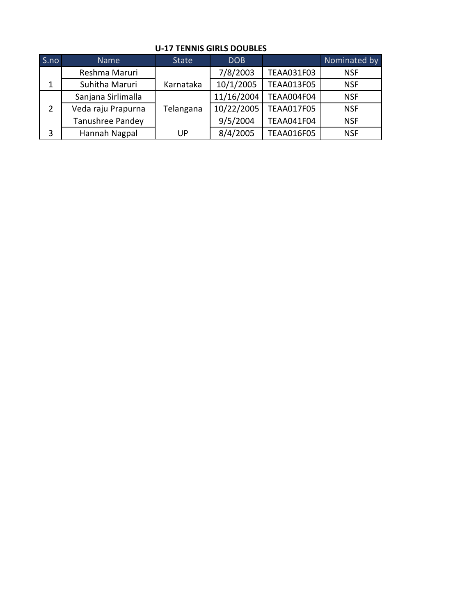| S.no | <b>Name</b>        | <b>State</b> | <b>DOB</b> |                   | Nominated by |
|------|--------------------|--------------|------------|-------------------|--------------|
|      | Reshma Maruri      |              | 7/8/2003   | <b>TEAA031F03</b> | <b>NSF</b>   |
| 1    | Suhitha Maruri     | Karnataka    | 10/1/2005  | <b>TEAA013F05</b> | <b>NSF</b>   |
|      | Sanjana Sirlimalla |              | 11/16/2004 | <b>TEAA004F04</b> | <b>NSF</b>   |
| 2    | Veda raju Prapurna | Telangana    | 10/22/2005 | <b>TEAA017F05</b> | <b>NSF</b>   |
|      | Tanushree Pandey   |              | 9/5/2004   | <b>TEAA041F04</b> | <b>NSF</b>   |
| 3    | Hannah Nagpal      | UP           | 8/4/2005   | <b>TEAA016F05</b> | <b>NSF</b>   |

#### **U-17 TENNIS GIRLS DOUBLES**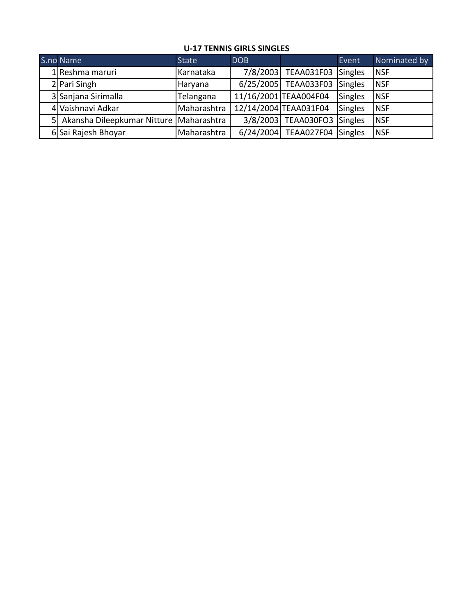## **U-17 TENNIS GIRLS SINGLES**

| S.no Name                                 | <b>State</b> | <b>DOB</b> |                             | Event          | Nominated by |
|-------------------------------------------|--------------|------------|-----------------------------|----------------|--------------|
| 1 Reshma maruri                           | Karnataka    | 7/8/2003   | <b>TEAA031F03</b>           | Singles        | <b>NSF</b>   |
| 2 Pari Singh                              | Haryana      |            | 6/25/2005 TEAA033F03        | Singles        | <b>NSF</b>   |
| 3 Sanjana Sirimalla                       | Telangana    |            | 11/16/2001 TEAA004F04       | <b>Singles</b> | <b>NSF</b>   |
| 4 Vaishnavi Adkar                         | Maharashtra  |            | 12/14/2004 TEAA031F04       | Singles        | <b>NSF</b>   |
| 5 Akansha Dileepkumar Nitture Maharashtra |              |            | 3/8/2003 TEAA030FO3 Singles |                | <b>NSF</b>   |
| 6 Sai Rajesh Bhoyar                       | Maharashtra  | 6/24/2004  | <b>TEAA027F04</b>           | Singles        | <b>NSF</b>   |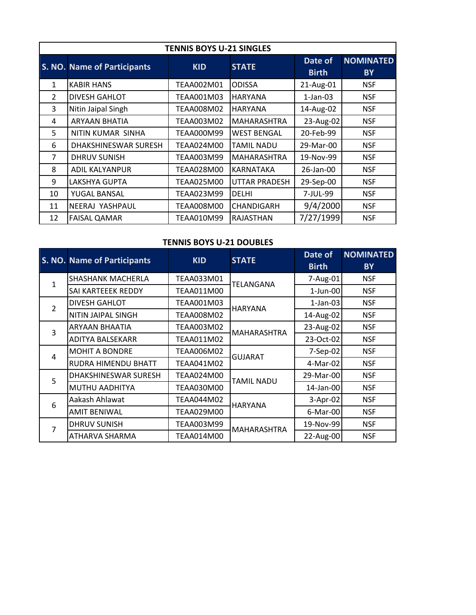| <b>TENNIS BOYS U-21 SINGLES</b> |                                    |            |                    |                         |                               |  |  |
|---------------------------------|------------------------------------|------------|--------------------|-------------------------|-------------------------------|--|--|
|                                 | <b>S. NO. Name of Participants</b> | <b>KID</b> | <b>STATE</b>       | Date of<br><b>Birth</b> | <b>NOMINATED</b><br><b>BY</b> |  |  |
| $\mathbf{1}$                    | <b>KABIR HANS</b>                  | TEAA002M01 | <b>ODISSA</b>      | 21-Aug-01               | <b>NSF</b>                    |  |  |
| $\mathfrak{D}$                  | <b>DIVESH GAHLOT</b>               | TEAA001M03 | <b>HARYANA</b>     | $1-Jan-03$              | <b>NSF</b>                    |  |  |
| 3                               | Nitin Jaipal Singh                 | TEAA008M02 | <b>HARYANA</b>     | 14-Aug-02               | <b>NSF</b>                    |  |  |
| 4                               | <b>ARYAAN BHATIA</b>               | TEAA003M02 | <b>MAHARASHTRA</b> | 23-Aug-02               | <b>NSF</b>                    |  |  |
| 5                               | NITIN KUMAR SINHA                  | TEAA000M99 | <b>WEST BENGAL</b> | 20-Feb-99               | <b>NSF</b>                    |  |  |
| 6                               | DHAKSHINESWAR SURESH               | TEAA024M00 | TAMIL NADU         | 29-Mar-00               | <b>NSF</b>                    |  |  |
| $\overline{7}$                  | <b>DHRUV SUNISH</b>                | TEAA003M99 | <b>MAHARASHTRA</b> | 19-Nov-99               | <b>NSF</b>                    |  |  |
| 8                               | <b>ADIL KALYANPUR</b>              | TEAA028M00 | KARNATAKA          | 26-Jan-00               | <b>NSF</b>                    |  |  |
| 9                               | LAKSHYA GUPTA                      | TEAA025M00 | UTTAR PRADESH      | 29-Sep-00               | <b>NSF</b>                    |  |  |
| 10                              | YUGAL BANSAL                       | TEAA023M99 | <b>DELHI</b>       | 7-JUL-99                | <b>NSF</b>                    |  |  |
| 11                              | NEERAJ YASHPAUL                    | TEAA008M00 | CHANDIGARH         | 9/4/2000                | <b>NSF</b>                    |  |  |
| 12                              | <b>FAISAL QAMAR</b>                | TEAA010M99 | RAJASTHAN          | 7/27/1999               | <b>NSF</b>                    |  |  |

## **TENNIS BOYS U-21 DOUBLES**

|                | <b>S. NO. Name of Participants</b> | <b>KID</b>        | <b>STATE</b>   | Date of<br><b>Birth</b> | <b>NOMINATED</b><br><b>BY</b> |
|----------------|------------------------------------|-------------------|----------------|-------------------------|-------------------------------|
| $\mathbf{1}$   | <b>SHASHANK MACHERLA</b>           | TEAA033M01        | TELANGANA      | 7-Aug-01                | <b>NSF</b>                    |
|                | SAI KARTEEEK REDDY                 | TEAA011M00        |                | $1$ -Jun-00             | <b>NSF</b>                    |
| $\overline{2}$ | <b>DIVESH GAHLOT</b>               | TEAA001M03        | <b>HARYANA</b> | $1$ -Jan-03             | <b>NSF</b>                    |
|                | NITIN JAIPAL SINGH                 | TEAA008M02        |                | 14-Aug-02               | <b>NSF</b>                    |
| 3              | <b>ARYAAN BHAATIA</b>              | TEAA003M02        | MAHARASHTRA    | 23-Aug-02               | <b>NSF</b>                    |
|                | ADITYA BALSEKARR                   | TEAA011M02        |                | 23-Oct-02               | <b>NSF</b>                    |
| 4              | <b>MOHIT A BONDRE</b>              | TEAA006M02        | <b>GUJARAT</b> | 7-Sep-02                | <b>NSF</b>                    |
|                | RUDRA HIMENDU BHATT                | TEAA041M02        |                | 4-Mar-02                | <b>NSF</b>                    |
| 5              | DHAKSHINESWAR SURESH               | TEAA024M00        | TAMIL NADU     | 29-Mar-00               | <b>NSF</b>                    |
|                | MUTHU AADHITYA                     | <b>TEAA030M00</b> |                | 14-Jan-00               | <b>NSF</b>                    |
| 6              | Aakash Ahlawat                     | TEAA044M02        | <b>HARYANA</b> | 3-Apr-02                | <b>NSF</b>                    |
|                | <b>AMIT BENIWAL</b>                | TEAA029M00        |                | 6-Mar-00                | <b>NSF</b>                    |
| 7              | <b>DHRUV SUNISH</b>                | TEAA003M99        | MAHARASHTRA    | 19-Nov-99               | <b>NSF</b>                    |
|                | ATHARVA SHARMA                     | TEAA014M00        |                | 22-Aug-00               | <b>NSF</b>                    |